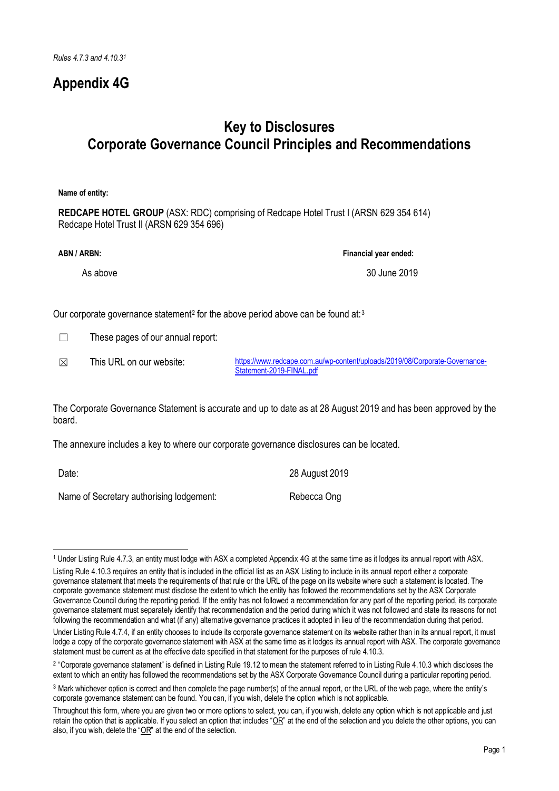## **Appendix 4G**

## **Key to Disclosures Corporate Governance Council Principles and Recommendations**

**Name of entity:**

**REDCAPE HOTEL GROUP** (ASX: RDC) comprising of Redcape Hotel Trust I (ARSN 629 354 614) Redcape Hotel Trust II (ARSN 629 354 696)

**ABN / ARBN: Financial year ended:**

As above 30 June 2019

Our corporate governance statement<sup>2</sup> for the above period above can be found at:<sup>[3](#page-0-2)</sup>

 $\Box$  These pages of our annual report:

☒ This URL on our website: [https://www.redcape.com.au/wp-content/uploads/2019/08/Corporate-Governance-](https://www.redcape.com.au/wp-content/uploads/2019/08/Corporate-Governance-Statement-2019-FINAL.pdf)[Statement-2019-FINAL.pdf](https://www.redcape.com.au/wp-content/uploads/2019/08/Corporate-Governance-Statement-2019-FINAL.pdf)

The Corporate Governance Statement is accurate and up to date as at 28 August 2019 and has been approved by the board.

The annexure includes a key to where our corporate governance disclosures can be located.

Date: 2019

 $\overline{a}$ 

Name of Secretary authorising lodgement: Rebecca Ong

<span id="page-0-0"></span><sup>1</sup> Under Listing Rule 4.7.3, an entity must lodge with ASX a completed Appendix 4G at the same time as it lodges its annual report with ASX.

Listing Rule 4.10.3 requires an entity that is included in the official list as an ASX Listing to include in its annual report either a corporate governance statement that meets the requirements of that rule or the URL of the page on its website where such a statement is located. The corporate governance statement must disclose the extent to which the entity has followed the recommendations set by the ASX Corporate Governance Council during the reporting period. If the entity has not followed a recommendation for any part of the reporting period, its corporate governance statement must separately identify that recommendation and the period during which it was not followed and state its reasons for not following the recommendation and what (if any) alternative governance practices it adopted in lieu of the recommendation during that period.

Under Listing Rule 4.7.4, if an entity chooses to include its corporate governance statement on its website rather than in its annual report, it must lodge a copy of the corporate governance statement with ASX at the same time as it lodges its annual report with ASX. The corporate governance statement must be current as at the effective date specified in that statement for the purposes of rule 4.10.3.

<span id="page-0-1"></span><sup>&</sup>lt;sup>2</sup> "Corporate governance statement" is defined in Listing Rule 19.12 to mean the statement referred to in Listing Rule 4.10.3 which discloses the extent to which an entity has followed the recommendations set by the ASX Corporate Governance Council during a particular reporting period.

<span id="page-0-2"></span><sup>3</sup> Mark whichever option is correct and then complete the page number(s) of the annual report, or the URL of the web page, where the entity's corporate governance statement can be found. You can, if you wish, delete the option which is not applicable.

Throughout this form, where you are given two or more options to select, you can, if you wish, delete any option which is not applicable and just retain the option that is applicable. If you select an option that includes "OR" at the end of the selection and you delete the other options, you can also, if you wish, delete the "OR" at the end of the selection.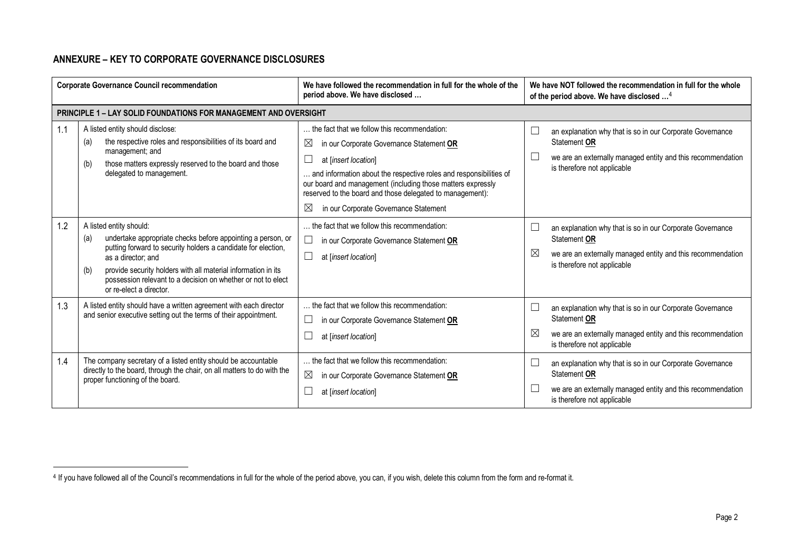## <span id="page-1-0"></span>**ANNEXURE – KEY TO CORPORATE GOVERNANCE DISCLOSURES**

 $\overline{\phantom{a}}$ 

| <b>Corporate Governance Council recommendation</b> |                                                                                                                                                                                                                                                                                                                                                         | We have followed the recommendation in full for the whole of the<br>period above. We have disclosed                                                                                                                                                                                                                                                                                       | We have NOT followed the recommendation in full for the whole<br>of the period above. We have disclosed <sup>4</sup>                                                                             |
|----------------------------------------------------|---------------------------------------------------------------------------------------------------------------------------------------------------------------------------------------------------------------------------------------------------------------------------------------------------------------------------------------------------------|-------------------------------------------------------------------------------------------------------------------------------------------------------------------------------------------------------------------------------------------------------------------------------------------------------------------------------------------------------------------------------------------|--------------------------------------------------------------------------------------------------------------------------------------------------------------------------------------------------|
|                                                    | <b>PRINCIPLE 1 - LAY SOLID FOUNDATIONS FOR MANAGEMENT AND OVERSIGHT</b>                                                                                                                                                                                                                                                                                 |                                                                                                                                                                                                                                                                                                                                                                                           |                                                                                                                                                                                                  |
| 1.1                                                | A listed entity should disclose:<br>the respective roles and responsibilities of its board and<br>(a)<br>management; and<br>those matters expressly reserved to the board and those<br>(b)<br>delegated to management.                                                                                                                                  | the fact that we follow this recommendation:<br>$\boxtimes$<br>in our Corporate Governance Statement OR<br>at [insert location]<br>and information about the respective roles and responsibilities of<br>our board and management (including those matters expressly<br>reserved to the board and those delegated to management):<br>$\boxtimes$<br>in our Corporate Governance Statement | $\Box$<br>an explanation why that is so in our Corporate Governance<br>Statement OR<br>$\Box$<br>we are an externally managed entity and this recommendation<br>is therefore not applicable      |
| 1.2                                                | A listed entity should:<br>undertake appropriate checks before appointing a person, or<br>(a)<br>putting forward to security holders a candidate for election,<br>as a director; and<br>provide security holders with all material information in its<br>(b)<br>possession relevant to a decision on whether or not to elect<br>or re-elect a director. | the fact that we follow this recommendation:<br>in our Corporate Governance Statement OR<br>at [insert location]                                                                                                                                                                                                                                                                          | $\Box$<br>an explanation why that is so in our Corporate Governance<br>Statement OR<br>$\boxtimes$<br>we are an externally managed entity and this recommendation<br>is therefore not applicable |
| 1.3                                                | A listed entity should have a written agreement with each director<br>and senior executive setting out the terms of their appointment.                                                                                                                                                                                                                  | the fact that we follow this recommendation:<br>in our Corporate Governance Statement OR<br>at [insert location]                                                                                                                                                                                                                                                                          | $\Box$<br>an explanation why that is so in our Corporate Governance<br>Statement OR<br>⊠<br>we are an externally managed entity and this recommendation<br>is therefore not applicable           |
| 1.4                                                | The company secretary of a listed entity should be accountable<br>directly to the board, through the chair, on all matters to do with the<br>proper functioning of the board.                                                                                                                                                                           | the fact that we follow this recommendation:<br>$\boxtimes$<br>in our Corporate Governance Statement OR<br>at [insert location]                                                                                                                                                                                                                                                           | L<br>an explanation why that is so in our Corporate Governance<br>Statement OR<br>$\Box$<br>we are an externally managed entity and this recommendation<br>is therefore not applicable           |

<sup>&</sup>lt;sup>4</sup> If you have followed all of the Council's recommendations in full for the whole of the period above, you can, if you wish, delete this column from the form and re-format it.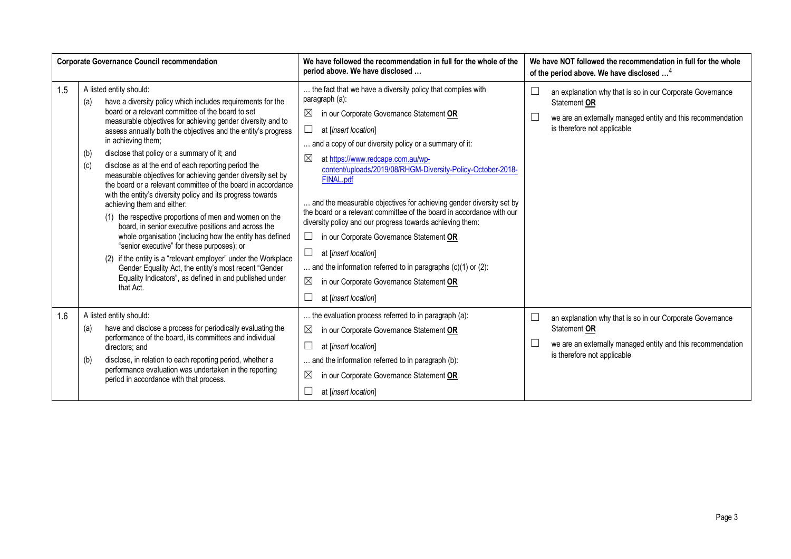| <b>Corporate Governance Council recommendation</b> |                                                                                                                                                                                                                                                                                                                                                                                                                                                                                                                                                                                                                                                                                                                                                                                                                                                                                                                                                                                                                                                                                         | We have followed the recommendation in full for the whole of the<br>period above. We have disclosed                                                                                                                                                                                                                                                                                                                                                                                                                                                                                                                                                                                                                                                                                                                      | We have NOT followed the recommendation in full for the whole<br>of the period above. We have disclosed <sup>4</sup>                                                              |
|----------------------------------------------------|-----------------------------------------------------------------------------------------------------------------------------------------------------------------------------------------------------------------------------------------------------------------------------------------------------------------------------------------------------------------------------------------------------------------------------------------------------------------------------------------------------------------------------------------------------------------------------------------------------------------------------------------------------------------------------------------------------------------------------------------------------------------------------------------------------------------------------------------------------------------------------------------------------------------------------------------------------------------------------------------------------------------------------------------------------------------------------------------|--------------------------------------------------------------------------------------------------------------------------------------------------------------------------------------------------------------------------------------------------------------------------------------------------------------------------------------------------------------------------------------------------------------------------------------------------------------------------------------------------------------------------------------------------------------------------------------------------------------------------------------------------------------------------------------------------------------------------------------------------------------------------------------------------------------------------|-----------------------------------------------------------------------------------------------------------------------------------------------------------------------------------|
| 1.5                                                | A listed entity should:<br>have a diversity policy which includes requirements for the<br>(a)<br>board or a relevant committee of the board to set<br>measurable objectives for achieving gender diversity and to<br>assess annually both the objectives and the entity's progress<br>in achieving them;<br>disclose that policy or a summary of it; and<br>(b)<br>disclose as at the end of each reporting period the<br>(c)<br>measurable objectives for achieving gender diversity set by<br>the board or a relevant committee of the board in accordance<br>with the entity's diversity policy and its progress towards<br>achieving them and either:<br>(1) the respective proportions of men and women on the<br>board, in senior executive positions and across the<br>whole organisation (including how the entity has defined<br>"senior executive" for these purposes); or<br>(2) if the entity is a "relevant employer" under the Workplace<br>Gender Equality Act, the entity's most recent "Gender<br>Equality Indicators", as defined in and published under<br>that Act. | the fact that we have a diversity policy that complies with<br>paragraph (a):<br>$\boxtimes$<br>in our Corporate Governance Statement OR<br>at [insert location]<br>and a copy of our diversity policy or a summary of it:<br>$\boxtimes$<br>at https://www.redcape.com.au/wp-<br>content/uploads/2019/08/RHGM-Diversity-Policy-October-2018-<br>FINAL.pdf<br>and the measurable objectives for achieving gender diversity set by<br>the board or a relevant committee of the board in accordance with our<br>diversity policy and our progress towards achieving them:<br>in our Corporate Governance Statement OR<br>$\vert \ \ \vert$<br>at [insert location]<br>and the information referred to in paragraphs $(c)(1)$ or $(2)$ :<br>$\boxtimes$<br>in our Corporate Governance Statement OR<br>at [insert location] | $\Box$<br>an explanation why that is so in our Corporate Governance<br>Statement OR<br>we are an externally managed entity and this recommendation<br>is therefore not applicable |
| 1.6                                                | A listed entity should:<br>have and disclose a process for periodically evaluating the<br>(a)<br>performance of the board, its committees and individual<br>directors; and<br>disclose, in relation to each reporting period, whether a<br>(b)<br>performance evaluation was undertaken in the reporting<br>period in accordance with that process.                                                                                                                                                                                                                                                                                                                                                                                                                                                                                                                                                                                                                                                                                                                                     | the evaluation process referred to in paragraph (a):<br>$\boxtimes$<br>in our Corporate Governance Statement OR<br>at [insert location]<br>and the information referred to in paragraph (b):<br>$\boxtimes$<br>in our Corporate Governance Statement OR<br>at [insert location]                                                                                                                                                                                                                                                                                                                                                                                                                                                                                                                                          | $\Box$<br>an explanation why that is so in our Corporate Governance<br>Statement OR<br>we are an externally managed entity and this recommendation<br>is therefore not applicable |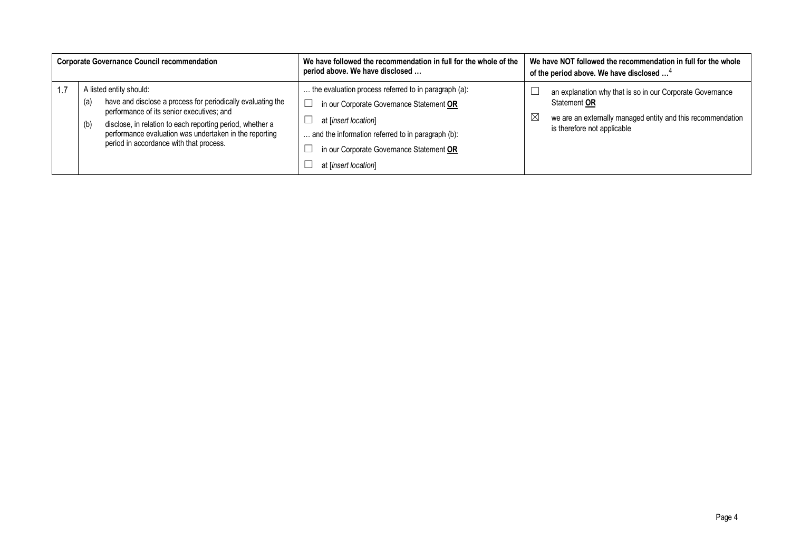| <b>Corporate Governance Council recommendation</b> |            |                                                                                                                                                                                                                                                            | We have followed the recommendation in full for the whole of the<br>period above. We have disclosed                                                                             |             | We have NOT followed the recommendation in full for the whole<br>of the period above. We have disclosed <sup>4</sup>                                                    |
|----------------------------------------------------|------------|------------------------------------------------------------------------------------------------------------------------------------------------------------------------------------------------------------------------------------------------------------|---------------------------------------------------------------------------------------------------------------------------------------------------------------------------------|-------------|-------------------------------------------------------------------------------------------------------------------------------------------------------------------------|
|                                                    | (a)<br>(b) | A listed entity should:<br>have and disclose a process for periodically evaluating the<br>performance of its senior executives; and<br>disclose, in relation to each reporting period, whether a<br>performance evaluation was undertaken in the reporting | the evaluation process referred to in paragraph (a):<br>in our Corporate Governance Statement OR<br>at [insert location]<br>. and the information referred to in paragraph (b): | $\boxtimes$ | an explanation why that is so in our Corporate Governance<br>Statement OR<br>we are an externally managed entity and this recommendation<br>is therefore not applicable |
|                                                    |            | period in accordance with that process.                                                                                                                                                                                                                    | in our Corporate Governance Statement OR<br>at [insert location]                                                                                                                |             |                                                                                                                                                                         |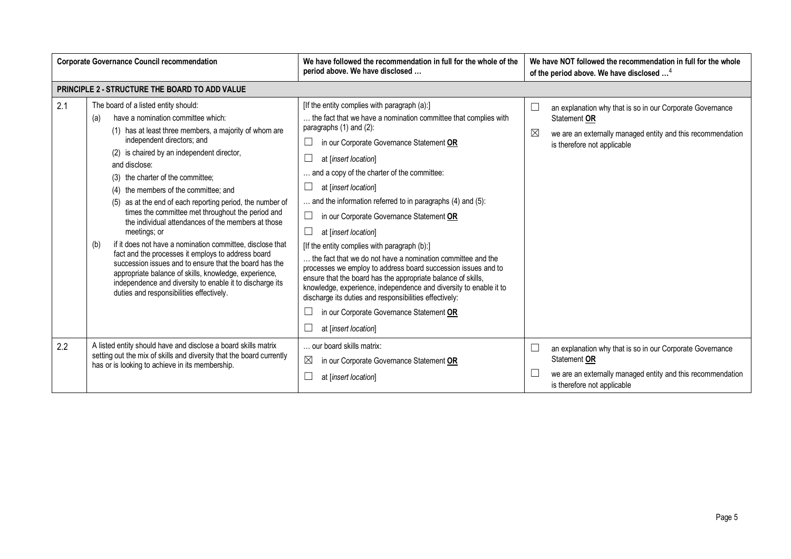| <b>Corporate Governance Council recommendation</b> |                                                                                                                                                                                                                                                                                                                                                                                                                                                                                                                                                                                                                                                                                                                                                                                                                                                                     | We have followed the recommendation in full for the whole of the<br>period above. We have disclosed                                                                                                                                                                                                                                                                                                                                                                                                                                                                                                                                                                                                                                                                                                                                                                                                                          | We have NOT followed the recommendation in full for the whole<br>of the period above. We have disclosed <sup>4</sup>                                                              |
|----------------------------------------------------|---------------------------------------------------------------------------------------------------------------------------------------------------------------------------------------------------------------------------------------------------------------------------------------------------------------------------------------------------------------------------------------------------------------------------------------------------------------------------------------------------------------------------------------------------------------------------------------------------------------------------------------------------------------------------------------------------------------------------------------------------------------------------------------------------------------------------------------------------------------------|------------------------------------------------------------------------------------------------------------------------------------------------------------------------------------------------------------------------------------------------------------------------------------------------------------------------------------------------------------------------------------------------------------------------------------------------------------------------------------------------------------------------------------------------------------------------------------------------------------------------------------------------------------------------------------------------------------------------------------------------------------------------------------------------------------------------------------------------------------------------------------------------------------------------------|-----------------------------------------------------------------------------------------------------------------------------------------------------------------------------------|
|                                                    | PRINCIPLE 2 - STRUCTURE THE BOARD TO ADD VALUE                                                                                                                                                                                                                                                                                                                                                                                                                                                                                                                                                                                                                                                                                                                                                                                                                      |                                                                                                                                                                                                                                                                                                                                                                                                                                                                                                                                                                                                                                                                                                                                                                                                                                                                                                                              |                                                                                                                                                                                   |
| 2.1                                                | The board of a listed entity should:<br>have a nomination committee which:<br>(a)<br>(1) has at least three members, a majority of whom are<br>independent directors; and<br>(2) is chaired by an independent director,<br>and disclose:<br>(3) the charter of the committee;<br>(4) the members of the committee; and<br>(5) as at the end of each reporting period, the number of<br>times the committee met throughout the period and<br>the individual attendances of the members at those<br>meetings; or<br>if it does not have a nomination committee, disclose that<br>(b)<br>fact and the processes it employs to address board<br>succession issues and to ensure that the board has the<br>appropriate balance of skills, knowledge, experience,<br>independence and diversity to enable it to discharge its<br>duties and responsibilities effectively. | [If the entity complies with paragraph (a):]<br>the fact that we have a nomination committee that complies with<br>paragraphs (1) and (2):<br>in our Corporate Governance Statement OR<br>$\Box$<br>$\Box$<br>at [insert location]<br>and a copy of the charter of the committee:<br>⊔<br>at [insert location]<br>and the information referred to in paragraphs (4) and (5):<br>$\Box$<br>in our Corporate Governance Statement OR<br>$\Box$<br>at [insert location]<br>[If the entity complies with paragraph (b):]<br>the fact that we do not have a nomination committee and the<br>processes we employ to address board succession issues and to<br>ensure that the board has the appropriate balance of skills,<br>knowledge, experience, independence and diversity to enable it to<br>discharge its duties and responsibilities effectively:<br>in our Corporate Governance Statement OR<br>⊔<br>at [insert location] | an explanation why that is so in our Corporate Governance<br>L<br>Statement OR<br>⊠<br>we are an externally managed entity and this recommendation<br>is therefore not applicable |
| 2.2                                                | A listed entity should have and disclose a board skills matrix<br>setting out the mix of skills and diversity that the board currently<br>has or is looking to achieve in its membership.                                                                                                                                                                                                                                                                                                                                                                                                                                                                                                                                                                                                                                                                           | our board skills matrix:<br>$\boxtimes$<br>in our Corporate Governance Statement OR<br>$\Box$<br>at [insert location]                                                                                                                                                                                                                                                                                                                                                                                                                                                                                                                                                                                                                                                                                                                                                                                                        | an explanation why that is so in our Corporate Governance<br>Statement OR<br>we are an externally managed entity and this recommendation<br>ப<br>is therefore not applicable      |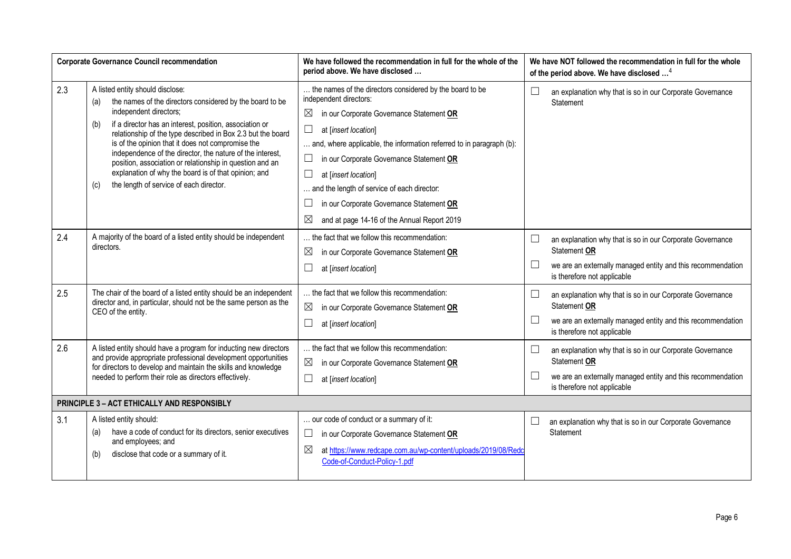|     | <b>Corporate Governance Council recommendation</b>                                                                                                                                                                                                                                                                                                                                                                                                                                                                                                     | We have followed the recommendation in full for the whole of the<br>period above. We have disclosed                                                                                                                                                                                                                                                                                                                                                                                  | We have NOT followed the recommendation in full for the whole<br>of the period above. We have disclosed <sup>4</sup>                                                                        |
|-----|--------------------------------------------------------------------------------------------------------------------------------------------------------------------------------------------------------------------------------------------------------------------------------------------------------------------------------------------------------------------------------------------------------------------------------------------------------------------------------------------------------------------------------------------------------|--------------------------------------------------------------------------------------------------------------------------------------------------------------------------------------------------------------------------------------------------------------------------------------------------------------------------------------------------------------------------------------------------------------------------------------------------------------------------------------|---------------------------------------------------------------------------------------------------------------------------------------------------------------------------------------------|
| 2.3 | A listed entity should disclose:<br>the names of the directors considered by the board to be<br>(a)<br>independent directors;<br>if a director has an interest, position, association or<br>(b)<br>relationship of the type described in Box 2.3 but the board<br>is of the opinion that it does not compromise the<br>independence of the director, the nature of the interest,<br>position, association or relationship in question and an<br>explanation of why the board is of that opinion; and<br>the length of service of each director.<br>(c) | the names of the directors considered by the board to be<br>independent directors:<br>in our Corporate Governance Statement OR<br>$\boxtimes$<br>$\Box$<br>at [insert location]<br>and, where applicable, the information referred to in paragraph (b):<br>in our Corporate Governance Statement OR<br>$\Box$<br>at [insert location]<br>and the length of service of each director:<br>in our Corporate Governance Statement OR<br>⊠<br>and at page 14-16 of the Annual Report 2019 | $\Box$<br>an explanation why that is so in our Corporate Governance<br>Statement                                                                                                            |
| 2.4 | A majority of the board of a listed entity should be independent<br>directors.                                                                                                                                                                                                                                                                                                                                                                                                                                                                         | the fact that we follow this recommendation:<br>$\boxtimes$<br>in our Corporate Governance Statement OR<br>at [insert location]                                                                                                                                                                                                                                                                                                                                                      | $\Box$<br>an explanation why that is so in our Corporate Governance<br>Statement OR<br>$\Box$<br>we are an externally managed entity and this recommendation<br>is therefore not applicable |
| 2.5 | The chair of the board of a listed entity should be an independent<br>director and, in particular, should not be the same person as the<br>CEO of the entity.                                                                                                                                                                                                                                                                                                                                                                                          | the fact that we follow this recommendation:<br>$\boxtimes$<br>in our Corporate Governance Statement OR<br>at [insert location]                                                                                                                                                                                                                                                                                                                                                      | $\Box$<br>an explanation why that is so in our Corporate Governance<br>Statement OR<br>$\Box$<br>we are an externally managed entity and this recommendation<br>is therefore not applicable |
| 2.6 | A listed entity should have a program for inducting new directors<br>and provide appropriate professional development opportunities<br>for directors to develop and maintain the skills and knowledge<br>needed to perform their role as directors effectively.                                                                                                                                                                                                                                                                                        | the fact that we follow this recommendation:<br>$\boxtimes$<br>in our Corporate Governance Statement OR<br>at [insert location]                                                                                                                                                                                                                                                                                                                                                      | $\Box$<br>an explanation why that is so in our Corporate Governance<br>Statement OR<br>$\Box$<br>we are an externally managed entity and this recommendation<br>is therefore not applicable |
|     | PRINCIPLE 3 - ACT ETHICALLY AND RESPONSIBLY                                                                                                                                                                                                                                                                                                                                                                                                                                                                                                            |                                                                                                                                                                                                                                                                                                                                                                                                                                                                                      |                                                                                                                                                                                             |
| 3.1 | A listed entity should:<br>have a code of conduct for its directors, senior executives<br>(a)<br>and employees; and<br>disclose that code or a summary of it.<br>(b)                                                                                                                                                                                                                                                                                                                                                                                   | our code of conduct or a summary of it:<br>in our Corporate Governance Statement OR<br>⊔<br>⊠<br>at https://www.redcape.com.au/wp-content/uploads/2019/08/Redc<br>Code-of-Conduct-Policy-1.pdf                                                                                                                                                                                                                                                                                       | $\Box$<br>an explanation why that is so in our Corporate Governance<br>Statement                                                                                                            |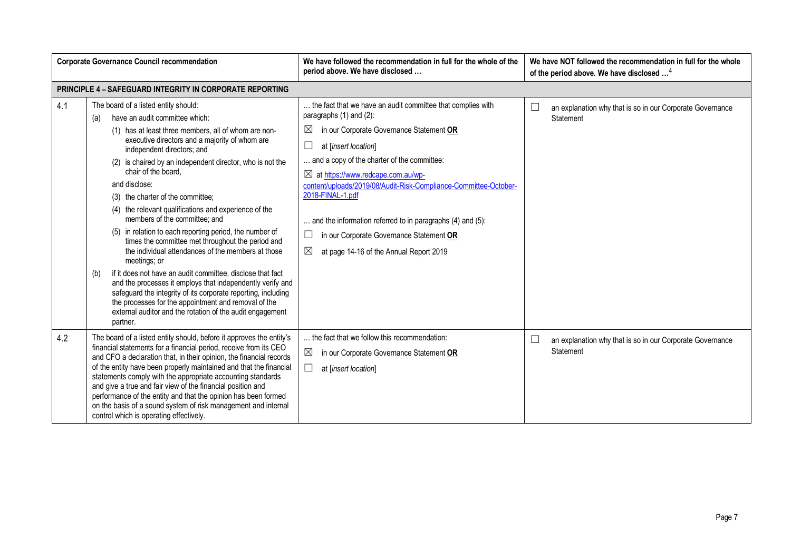| <b>Corporate Governance Council recommendation</b> |                                                                                                                                                                                                                                                                                                                                                                                                                                                                                                                                                                                                                                                                                                                                                                                                                                                                                                                                                                                      | We have followed the recommendation in full for the whole of the<br>period above. We have disclosed                                                                                                                                                                                                                                                                                                                                                                                                                                 | We have NOT followed the recommendation in full for the whole<br>of the period above. We have disclosed <sup>4</sup> |
|----------------------------------------------------|--------------------------------------------------------------------------------------------------------------------------------------------------------------------------------------------------------------------------------------------------------------------------------------------------------------------------------------------------------------------------------------------------------------------------------------------------------------------------------------------------------------------------------------------------------------------------------------------------------------------------------------------------------------------------------------------------------------------------------------------------------------------------------------------------------------------------------------------------------------------------------------------------------------------------------------------------------------------------------------|-------------------------------------------------------------------------------------------------------------------------------------------------------------------------------------------------------------------------------------------------------------------------------------------------------------------------------------------------------------------------------------------------------------------------------------------------------------------------------------------------------------------------------------|----------------------------------------------------------------------------------------------------------------------|
|                                                    | <b>PRINCIPLE 4 - SAFEGUARD INTEGRITY IN CORPORATE REPORTING</b>                                                                                                                                                                                                                                                                                                                                                                                                                                                                                                                                                                                                                                                                                                                                                                                                                                                                                                                      |                                                                                                                                                                                                                                                                                                                                                                                                                                                                                                                                     |                                                                                                                      |
| 4.1                                                | The board of a listed entity should:<br>have an audit committee which:<br>(a)<br>(1) has at least three members, all of whom are non-<br>executive directors and a majority of whom are<br>independent directors; and<br>(2) is chaired by an independent director, who is not the<br>chair of the board.<br>and disclose:<br>(3) the charter of the committee;<br>(4) the relevant qualifications and experience of the<br>members of the committee; and<br>(5) in relation to each reporting period, the number of<br>times the committee met throughout the period and<br>the individual attendances of the members at those<br>meetings; or<br>if it does not have an audit committee, disclose that fact<br>(b)<br>and the processes it employs that independently verify and<br>safeguard the integrity of its corporate reporting, including<br>the processes for the appointment and removal of the<br>external auditor and the rotation of the audit engagement<br>partner. | the fact that we have an audit committee that complies with<br>paragraphs (1) and (2):<br>in our Corporate Governance Statement OR<br>$\bowtie$<br>at [insert location]<br>and a copy of the charter of the committee:<br>$\boxtimes$ at https://www.redcape.com.au/wp-<br>content/uploads/2019/08/Audit-Risk-Compliance-Committee-October-<br>2018-FINAL-1.pdf<br>and the information referred to in paragraphs (4) and (5):<br>in our Corporate Governance Statement OR<br>$\boxtimes$<br>at page 14-16 of the Annual Report 2019 | $\Box$<br>an explanation why that is so in our Corporate Governance<br>Statement                                     |
| 4.2                                                | The board of a listed entity should, before it approves the entity's<br>financial statements for a financial period, receive from its CEO<br>and CFO a declaration that, in their opinion, the financial records<br>of the entity have been properly maintained and that the financial<br>statements comply with the appropriate accounting standards<br>and give a true and fair view of the financial position and<br>performance of the entity and that the opinion has been formed<br>on the basis of a sound system of risk management and internal<br>control which is operating effectively.                                                                                                                                                                                                                                                                                                                                                                                  | the fact that we follow this recommendation:<br>$\boxtimes$<br>in our Corporate Governance Statement OR<br>at [insert location]                                                                                                                                                                                                                                                                                                                                                                                                     | $\Box$<br>an explanation why that is so in our Corporate Governance<br>Statement                                     |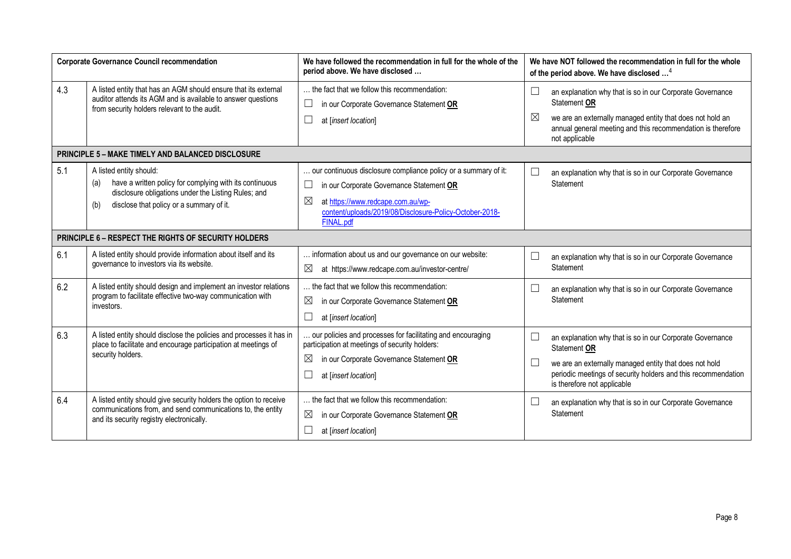| <b>Corporate Governance Council recommendation</b> |                                                                                                                                                                                                     | We have followed the recommendation in full for the whole of the<br>period above. We have disclosed                                                                                                                                               | We have NOT followed the recommendation in full for the whole<br>of the period above. We have disclosed <sup>4</sup>                                                                                                                |
|----------------------------------------------------|-----------------------------------------------------------------------------------------------------------------------------------------------------------------------------------------------------|---------------------------------------------------------------------------------------------------------------------------------------------------------------------------------------------------------------------------------------------------|-------------------------------------------------------------------------------------------------------------------------------------------------------------------------------------------------------------------------------------|
| 4.3                                                | A listed entity that has an AGM should ensure that its external<br>auditor attends its AGM and is available to answer questions<br>from security holders relevant to the audit.                     | the fact that we follow this recommendation:<br>$\Box$<br>in our Corporate Governance Statement OR<br>at [insert location]                                                                                                                        | an explanation why that is so in our Corporate Governance<br>Statement OR<br>⊠<br>we are an externally managed entity that does not hold an<br>annual general meeting and this recommendation is therefore<br>not applicable        |
|                                                    | <b>PRINCIPLE 5 - MAKE TIMELY AND BALANCED DISCLOSURE</b>                                                                                                                                            |                                                                                                                                                                                                                                                   |                                                                                                                                                                                                                                     |
| 5.1                                                | A listed entity should:<br>have a written policy for complying with its continuous<br>(a)<br>disclosure obligations under the Listing Rules; and<br>disclose that policy or a summary of it.<br>(b) | our continuous disclosure compliance policy or a summary of it:<br>in our Corporate Governance Statement OR<br>$\Box$<br>$\boxtimes$<br>at https://www.redcape.com.au/wp-<br>content/uploads/2019/08/Disclosure-Policy-October-2018-<br>FINAL.pdf | an explanation why that is so in our Corporate Governance<br>Statement                                                                                                                                                              |
|                                                    | PRINCIPLE 6 - RESPECT THE RIGHTS OF SECURITY HOLDERS                                                                                                                                                |                                                                                                                                                                                                                                                   |                                                                                                                                                                                                                                     |
| 6.1                                                | A listed entity should provide information about itself and its<br>governance to investors via its website.                                                                                         | information about us and our governance on our website:<br>$\boxtimes$<br>at https://www.redcape.com.au/investor-centre/                                                                                                                          | an explanation why that is so in our Corporate Governance<br>Statement                                                                                                                                                              |
| 6.2                                                | A listed entity should design and implement an investor relations<br>program to facilitate effective two-way communication with<br>investors.                                                       | the fact that we follow this recommendation:<br>⊠<br>in our Corporate Governance Statement OR<br>at [insert location]                                                                                                                             | an explanation why that is so in our Corporate Governance<br>Statement                                                                                                                                                              |
| 6.3                                                | A listed entity should disclose the policies and processes it has in<br>place to facilitate and encourage participation at meetings of<br>security holders.                                         | our policies and processes for facilitating and encouraging<br>participation at meetings of security holders:<br>$\boxtimes$<br>in our Corporate Governance Statement OR<br>at [insert location]                                                  | an explanation why that is so in our Corporate Governance<br>Statement OR<br>we are an externally managed entity that does not hold<br>periodic meetings of security holders and this recommendation<br>is therefore not applicable |
| 6.4                                                | A listed entity should give security holders the option to receive<br>communications from, and send communications to, the entity<br>and its security registry electronically.                      | the fact that we follow this recommendation:<br>⊠<br>in our Corporate Governance Statement OR<br>at [insert location]                                                                                                                             | an explanation why that is so in our Corporate Governance<br>Statement                                                                                                                                                              |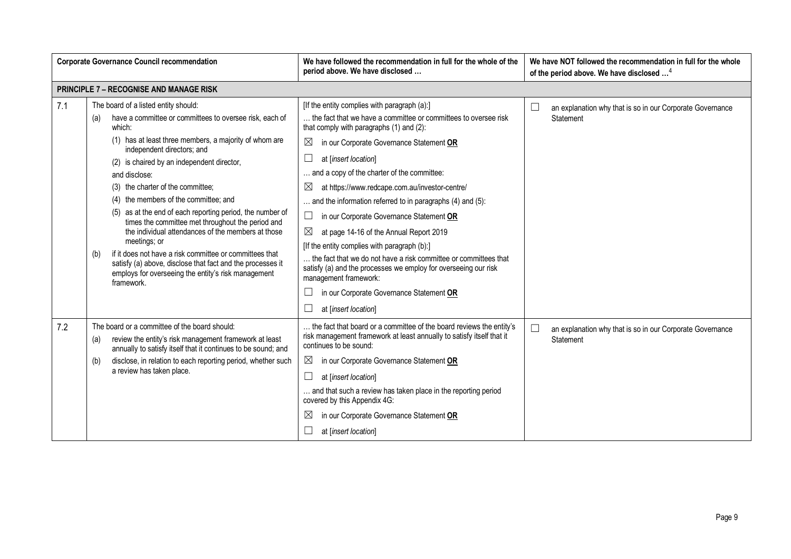| <b>Corporate Governance Council recommendation</b> |                                                                                                                                                                                                                                                                                                                                                                                                                                                                                                                                                                                                                                                                                                                                                    | We have followed the recommendation in full for the whole of the<br>period above. We have disclosed                                                                                                                                                                                                                                                                                                                                                                                                                                                                                                                                                                                                                                                                                            | We have NOT followed the recommendation in full for the whole<br>of the period above. We have disclosed <sup>4</sup> |
|----------------------------------------------------|----------------------------------------------------------------------------------------------------------------------------------------------------------------------------------------------------------------------------------------------------------------------------------------------------------------------------------------------------------------------------------------------------------------------------------------------------------------------------------------------------------------------------------------------------------------------------------------------------------------------------------------------------------------------------------------------------------------------------------------------------|------------------------------------------------------------------------------------------------------------------------------------------------------------------------------------------------------------------------------------------------------------------------------------------------------------------------------------------------------------------------------------------------------------------------------------------------------------------------------------------------------------------------------------------------------------------------------------------------------------------------------------------------------------------------------------------------------------------------------------------------------------------------------------------------|----------------------------------------------------------------------------------------------------------------------|
|                                                    | <b>PRINCIPLE 7 - RECOGNISE AND MANAGE RISK</b>                                                                                                                                                                                                                                                                                                                                                                                                                                                                                                                                                                                                                                                                                                     |                                                                                                                                                                                                                                                                                                                                                                                                                                                                                                                                                                                                                                                                                                                                                                                                |                                                                                                                      |
| 7.1                                                | The board of a listed entity should:<br>have a committee or committees to oversee risk, each of<br>(a)<br>which:<br>(1) has at least three members, a majority of whom are<br>independent directors; and<br>(2) is chaired by an independent director,<br>and disclose:<br>(3) the charter of the committee;<br>(4) the members of the committee; and<br>(5) as at the end of each reporting period, the number of<br>times the committee met throughout the period and<br>the individual attendances of the members at those<br>meetings; or<br>if it does not have a risk committee or committees that<br>(b)<br>satisfy (a) above, disclose that fact and the processes it<br>employs for overseeing the entity's risk management<br>framework. | [If the entity complies with paragraph (a):]<br>the fact that we have a committee or committees to oversee risk<br>that comply with paragraphs (1) and (2):<br>$\boxtimes$<br>in our Corporate Governance Statement OR<br>$\Box$<br>at [insert location]<br>and a copy of the charter of the committee:<br>⊠<br>at https://www.redcape.com.au/investor-centre/<br>and the information referred to in paragraphs (4) and (5):<br>$\Box$<br>in our Corporate Governance Statement OR<br>⊠<br>at page 14-16 of the Annual Report 2019<br>[If the entity complies with paragraph (b):]<br>the fact that we do not have a risk committee or committees that<br>satisfy (a) and the processes we employ for overseeing our risk<br>management framework:<br>in our Corporate Governance Statement OR | L<br>an explanation why that is so in our Corporate Governance<br>Statement                                          |
| 7.2                                                | The board or a committee of the board should:<br>review the entity's risk management framework at least<br>(a)<br>annually to satisfy itself that it continues to be sound; and<br>disclose, in relation to each reporting period, whether such<br>(b)<br>a review has taken place.                                                                                                                                                                                                                                                                                                                                                                                                                                                                | at [insert location]<br>the fact that board or a committee of the board reviews the entity's<br>risk management framework at least annually to satisfy itself that it<br>continues to be sound:<br>$\boxtimes$<br>in our Corporate Governance Statement OR<br>$\Box$<br>at [insert location]<br>and that such a review has taken place in the reporting period<br>covered by this Appendix 4G:<br>$\boxtimes$<br>in our Corporate Governance Statement OR<br>at [insert location]                                                                                                                                                                                                                                                                                                              | $\Box$<br>an explanation why that is so in our Corporate Governance<br>Statement                                     |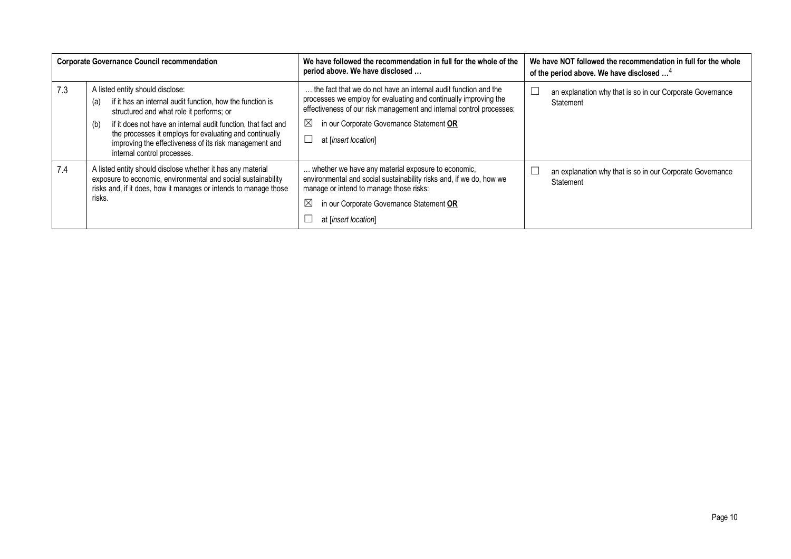| <b>Corporate Governance Council recommendation</b> |                                                                                                                                                                                                                                                                                                                                                                              | We have followed the recommendation in full for the whole of the<br>period above. We have disclosed                                                                                                                                                                                            | We have NOT followed the recommendation in full for the whole<br>of the period above. We have disclosed <sup>4</sup> |
|----------------------------------------------------|------------------------------------------------------------------------------------------------------------------------------------------------------------------------------------------------------------------------------------------------------------------------------------------------------------------------------------------------------------------------------|------------------------------------------------------------------------------------------------------------------------------------------------------------------------------------------------------------------------------------------------------------------------------------------------|----------------------------------------------------------------------------------------------------------------------|
| 7.3                                                | A listed entity should disclose:<br>if it has an internal audit function, how the function is<br>(a)<br>structured and what role it performs; or<br>if it does not have an internal audit function, that fact and<br>(b)<br>the processes it employs for evaluating and continually<br>improving the effectiveness of its risk management and<br>internal control processes. | the fact that we do not have an internal audit function and the<br>processes we employ for evaluating and continually improving the<br>effectiveness of our risk management and internal control processes:<br>in our Corporate Governance Statement OR<br>$\boxtimes$<br>at [insert location] | an explanation why that is so in our Corporate Governance<br>Statement                                               |
| 7.4                                                | A listed entity should disclose whether it has any material<br>exposure to economic, environmental and social sustainability<br>risks and, if it does, how it manages or intends to manage those<br>risks.                                                                                                                                                                   | whether we have any material exposure to economic,<br>environmental and social sustainability risks and, if we do, how we<br>manage or intend to manage those risks:<br>$\boxtimes$<br>in our Corporate Governance Statement OR<br>at [insert location]                                        | an explanation why that is so in our Corporate Governance<br>Statement                                               |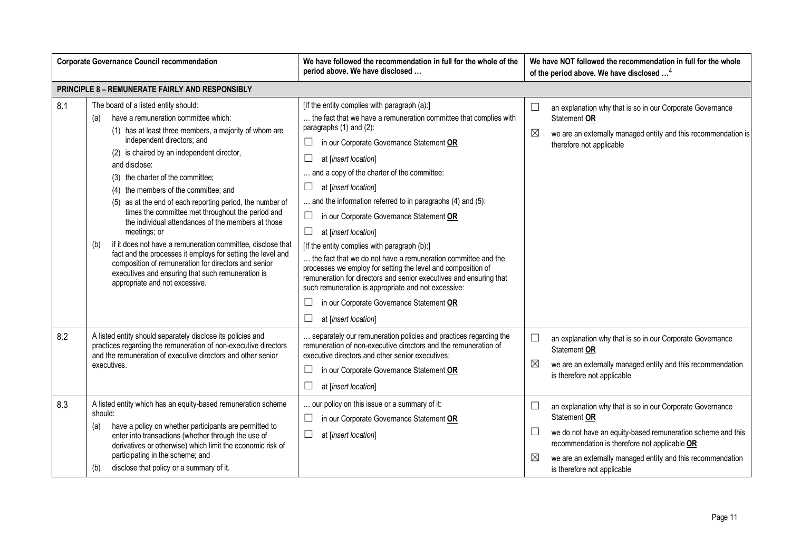| <b>Corporate Governance Council recommendation</b> |                                                                                                                                                                                                                                                                                                                                                                                                                                                                                                                                                                                                                                                                                                                                                                                                      | We have followed the recommendation in full for the whole of the<br>period above. We have disclosed                                                                                                                                                                                                                                                                                                                                                                                                                                                                                                                                                                                                                                                                                                                                  | We have NOT followed the recommendation in full for the whole<br>of the period above. We have disclosed <sup>4</sup>                                                                                                                                                                                             |
|----------------------------------------------------|------------------------------------------------------------------------------------------------------------------------------------------------------------------------------------------------------------------------------------------------------------------------------------------------------------------------------------------------------------------------------------------------------------------------------------------------------------------------------------------------------------------------------------------------------------------------------------------------------------------------------------------------------------------------------------------------------------------------------------------------------------------------------------------------------|--------------------------------------------------------------------------------------------------------------------------------------------------------------------------------------------------------------------------------------------------------------------------------------------------------------------------------------------------------------------------------------------------------------------------------------------------------------------------------------------------------------------------------------------------------------------------------------------------------------------------------------------------------------------------------------------------------------------------------------------------------------------------------------------------------------------------------------|------------------------------------------------------------------------------------------------------------------------------------------------------------------------------------------------------------------------------------------------------------------------------------------------------------------|
|                                                    | PRINCIPLE 8 - REMUNERATE FAIRLY AND RESPONSIBLY                                                                                                                                                                                                                                                                                                                                                                                                                                                                                                                                                                                                                                                                                                                                                      |                                                                                                                                                                                                                                                                                                                                                                                                                                                                                                                                                                                                                                                                                                                                                                                                                                      |                                                                                                                                                                                                                                                                                                                  |
| 8.1                                                | The board of a listed entity should:<br>have a remuneration committee which:<br>(a)<br>(1) has at least three members, a majority of whom are<br>independent directors; and<br>(2) is chaired by an independent director,<br>and disclose:<br>(3) the charter of the committee;<br>(4) the members of the committee; and<br>(5) as at the end of each reporting period, the number of<br>times the committee met throughout the period and<br>the individual attendances of the members at those<br>meetings; or<br>if it does not have a remuneration committee, disclose that<br>(b)<br>fact and the processes it employs for setting the level and<br>composition of remuneration for directors and senior<br>executives and ensuring that such remuneration is<br>appropriate and not excessive. | [If the entity complies with paragraph (a):]<br>the fact that we have a remuneration committee that complies with<br>paragraphs $(1)$ and $(2)$ :<br>in our Corporate Governance Statement OR<br>at [insert location]<br>and a copy of the charter of the committee:<br>at [insert location]<br>and the information referred to in paragraphs (4) and (5):<br>in our Corporate Governance Statement OR<br>$\Box$<br>$\Box$<br>at [insert location]<br>[If the entity complies with paragraph (b):]<br>the fact that we do not have a remuneration committee and the<br>processes we employ for setting the level and composition of<br>remuneration for directors and senior executives and ensuring that<br>such remuneration is appropriate and not excessive:<br>in our Corporate Governance Statement OR<br>at [insert location] | $\Box$<br>an explanation why that is so in our Corporate Governance<br>Statement OR<br>$\boxtimes$<br>we are an externally managed entity and this recommendation is<br>therefore not applicable                                                                                                                 |
| 8.2                                                | A listed entity should separately disclose its policies and<br>practices regarding the remuneration of non-executive directors<br>and the remuneration of executive directors and other senior<br>executives.                                                                                                                                                                                                                                                                                                                                                                                                                                                                                                                                                                                        | separately our remuneration policies and practices regarding the<br>remuneration of non-executive directors and the remuneration of<br>executive directors and other senior executives:<br>$\Box$<br>in our Corporate Governance Statement OR<br>at [insert location]                                                                                                                                                                                                                                                                                                                                                                                                                                                                                                                                                                | $\Box$<br>an explanation why that is so in our Corporate Governance<br>Statement OR<br>$\boxtimes$<br>we are an externally managed entity and this recommendation<br>is therefore not applicable                                                                                                                 |
| 8.3                                                | A listed entity which has an equity-based remuneration scheme<br>should:<br>have a policy on whether participants are permitted to<br>(a)<br>enter into transactions (whether through the use of<br>derivatives or otherwise) which limit the economic risk of<br>participating in the scheme; and<br>disclose that policy or a summary of it.<br>(b)                                                                                                                                                                                                                                                                                                                                                                                                                                                | our policy on this issue or a summary of it:<br>in our Corporate Governance Statement OR<br>⊔<br>at [insert location]<br>$\Box$                                                                                                                                                                                                                                                                                                                                                                                                                                                                                                                                                                                                                                                                                                      | $\Box$<br>an explanation why that is so in our Corporate Governance<br>Statement OR<br>$\Box$<br>we do not have an equity-based remuneration scheme and this<br>recommendation is therefore not applicable OR<br>⊠<br>we are an externally managed entity and this recommendation<br>is therefore not applicable |